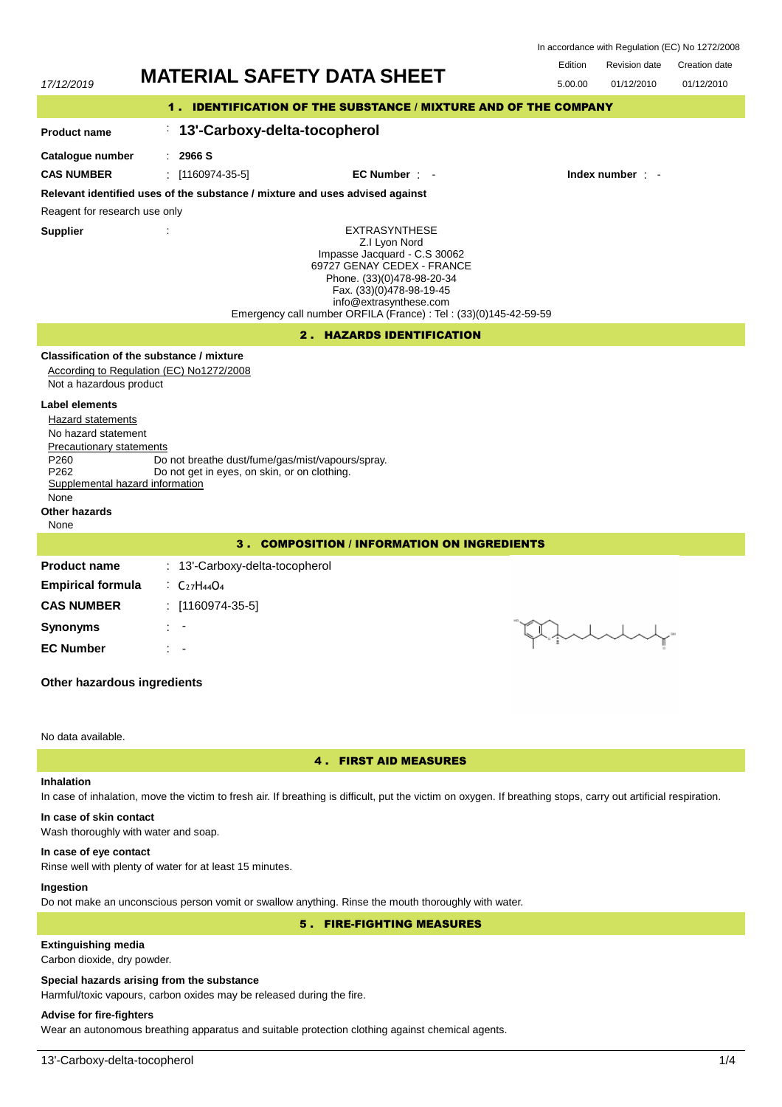| <b>MATERIAL SAFETY DATA SHEET</b><br>17/12/2019                                                                                                                                                           |                                                                                                                                                                                                                                                              | Edition | <b>Revision date</b> | <b>Creation date</b> |  |  |  |
|-----------------------------------------------------------------------------------------------------------------------------------------------------------------------------------------------------------|--------------------------------------------------------------------------------------------------------------------------------------------------------------------------------------------------------------------------------------------------------------|---------|----------------------|----------------------|--|--|--|
|                                                                                                                                                                                                           |                                                                                                                                                                                                                                                              | 5.00.00 | 01/12/2010           | 01/12/2010           |  |  |  |
| 1. IDENTIFICATION OF THE SUBSTANCE / MIXTURE AND OF THE COMPANY                                                                                                                                           |                                                                                                                                                                                                                                                              |         |                      |                      |  |  |  |
| <b>Product name</b>                                                                                                                                                                                       | 13'-Carboxy-delta-tocopherol<br>÷,                                                                                                                                                                                                                           |         |                      |                      |  |  |  |
| Catalogue number                                                                                                                                                                                          | 2966 S<br>÷.                                                                                                                                                                                                                                                 |         |                      |                      |  |  |  |
| <b>CAS NUMBER</b>                                                                                                                                                                                         | $\pm$ [1160974-35-5]<br>EC Number : -                                                                                                                                                                                                                        |         |                      | Index number : -     |  |  |  |
|                                                                                                                                                                                                           | Relevant identified uses of the substance / mixture and uses advised against                                                                                                                                                                                 |         |                      |                      |  |  |  |
| Reagent for research use only                                                                                                                                                                             |                                                                                                                                                                                                                                                              |         |                      |                      |  |  |  |
| <b>Supplier</b>                                                                                                                                                                                           | <b>EXTRASYNTHESE</b><br>Z.I Lyon Nord<br>Impasse Jacquard - C.S 30062<br>69727 GENAY CEDEX - FRANCE<br>Phone. (33)(0)478-98-20-34<br>Fax. (33)(0)478-98-19-45<br>info@extrasynthese.com<br>Emergency call number ORFILA (France) : Tel : (33)(0)145-42-59-59 |         |                      |                      |  |  |  |
| <b>2. HAZARDS IDENTIFICATION</b>                                                                                                                                                                          |                                                                                                                                                                                                                                                              |         |                      |                      |  |  |  |
| Not a hazardous product                                                                                                                                                                                   | Classification of the substance / mixture<br>According to Regulation (EC) No1272/2008                                                                                                                                                                        |         |                      |                      |  |  |  |
| <b>Label elements</b><br>Hazard statements<br>No hazard statement<br>Precautionary statements<br>P <sub>260</sub><br>P <sub>262</sub><br>Supplemental hazard information<br>None<br>Other hazards<br>None | Do not breathe dust/fume/gas/mist/vapours/spray.<br>Do not get in eyes, on skin, or on clothing.                                                                                                                                                             |         |                      |                      |  |  |  |
| <b>COMPOSITION / INFORMATION ON INGREDIENTS</b><br>$3 -$                                                                                                                                                  |                                                                                                                                                                                                                                                              |         |                      |                      |  |  |  |
| <b>Product name</b>                                                                                                                                                                                       | : 13'-Carboxy-delta-tocopherol                                                                                                                                                                                                                               |         |                      |                      |  |  |  |
| <b>Empirical formula</b>                                                                                                                                                                                  | $\cdot$ C <sub>27</sub> H <sub>44</sub> O <sub>4</sub>                                                                                                                                                                                                       |         |                      |                      |  |  |  |
| <b>CAS NUMBER</b>                                                                                                                                                                                         | : $[1160974-35-5]$                                                                                                                                                                                                                                           |         |                      |                      |  |  |  |
| <b>Synonyms</b>                                                                                                                                                                                           |                                                                                                                                                                                                                                                              |         |                      |                      |  |  |  |
| <b>EC Number</b>                                                                                                                                                                                          |                                                                                                                                                                                                                                                              |         |                      |                      |  |  |  |

# **Other hazardous ingredients**

## No data available.

## 4 . FIRST AID MEASURES

# **Inhalation**

In case of inhalation, move the victim to fresh air. If breathing is difficult, put the victim on oxygen. If breathing stops, carry out artificial respiration.

# **In case of skin contact**

Wash thoroughly with water and soap.

#### **In case of eye contact**

Rinse well with plenty of water for at least 15 minutes.

# **Ingestion**

Do not make an unconscious person vomit or swallow anything. Rinse the mouth thoroughly with water.

# 5 . FIRE-FIGHTING MEASURES

# **Extinguishing media**

Carbon dioxide, dry powder.

## **Special hazards arising from the substance**

Harmful/toxic vapours, carbon oxides may be released during the fire.

## **Advise for fire-fighters**

Wear an autonomous breathing apparatus and suitable protection clothing against chemical agents.

In accordance with Regulation (EC) No 1272/2008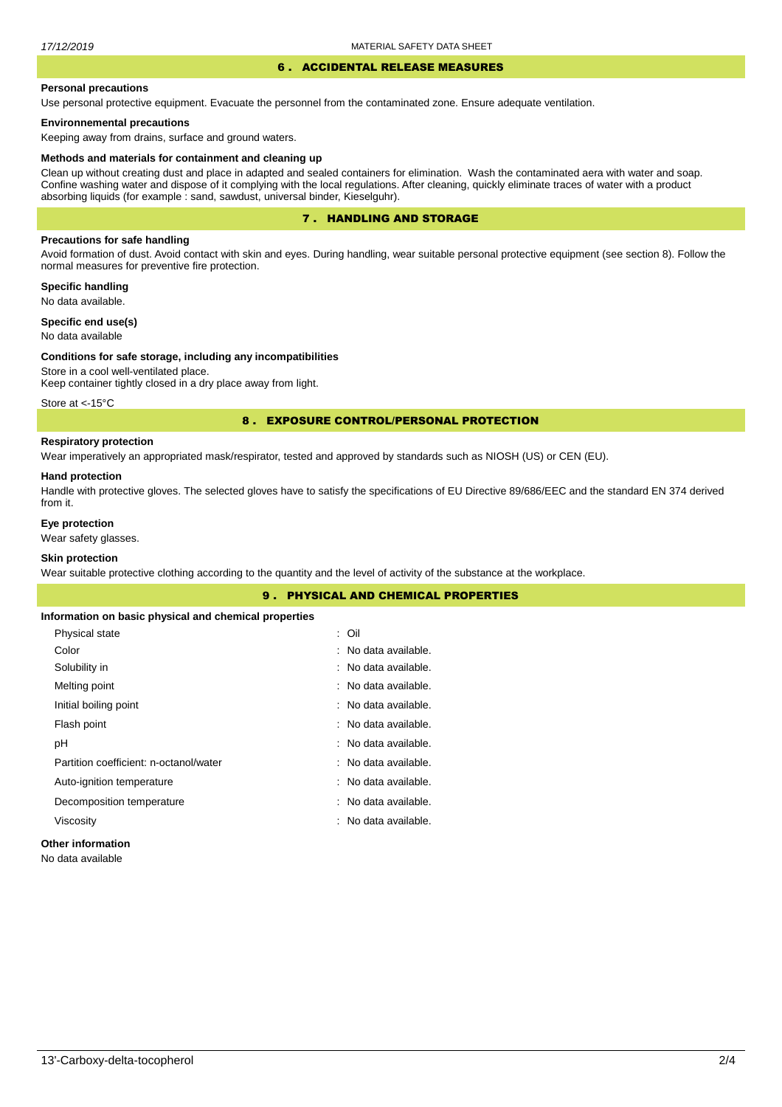#### 6 . ACCIDENTAL RELEASE MEASURES

#### **Personal precautions**

Use personal protective equipment. Evacuate the personnel from the contaminated zone. Ensure adequate ventilation.

### **Environnemental precautions**

Keeping away from drains, surface and ground waters.

#### **Methods and materials for containment and cleaning up**

Clean up without creating dust and place in adapted and sealed containers for elimination. Wash the contaminated aera with water and soap. Confine washing water and dispose of it complying with the local regulations. After cleaning, quickly eliminate traces of water with a product absorbing liquids (for example : sand, sawdust, universal binder, Kieselguhr).

## 7 . HANDLING AND STORAGE

## **Precautions for safe handling**

Avoid formation of dust. Avoid contact with skin and eyes. During handling, wear suitable personal protective equipment (see section 8). Follow the normal measures for preventive fire protection.

**Specific handling** No data available.

**Specific end use(s)**

# No data available

#### **Conditions for safe storage, including any incompatibilities**

Store in a cool well-ventilated place. Keep container tightly closed in a dry place away from light.

Store at <- 15°C

### 8 . EXPOSURE CONTROL/PERSONAL PROTECTION

## **Respiratory protection**

Wear imperatively an appropriated mask/respirator, tested and approved by standards such as NIOSH (US) or CEN (EU).

#### **Hand protection**

Handle with protective gloves. The selected gloves have to satisfy the specifications of EU Directive 89/686/EEC and the standard EN 374 derived from it.

## **Eye protection**

Wear safety glasses.

## **Skin protection**

Wear suitable protective clothing according to the quantity and the level of activity of the substance at the workplace.

|                                                       | 9. PHYSICAL AND CHEMICAL PROPERTIES |  |
|-------------------------------------------------------|-------------------------------------|--|
| Information on basic physical and chemical properties |                                     |  |
| Physical state                                        | : Oil                               |  |
| Color                                                 | : No data available.                |  |
| Solubility in                                         | : No data available.                |  |
| Melting point                                         | : No data available.                |  |
| Initial boiling point                                 | : No data available.                |  |
| Flash point                                           | : No data available.                |  |
| рH                                                    | : No data available.                |  |
| Partition coefficient: n-octanol/water                | : No data available.                |  |
| Auto-ignition temperature                             | : No data available.                |  |
| Decomposition temperature                             | : No data available.                |  |
| Viscosity                                             | : No data available.                |  |
| .                                                     |                                     |  |

#### **Other information**

No data available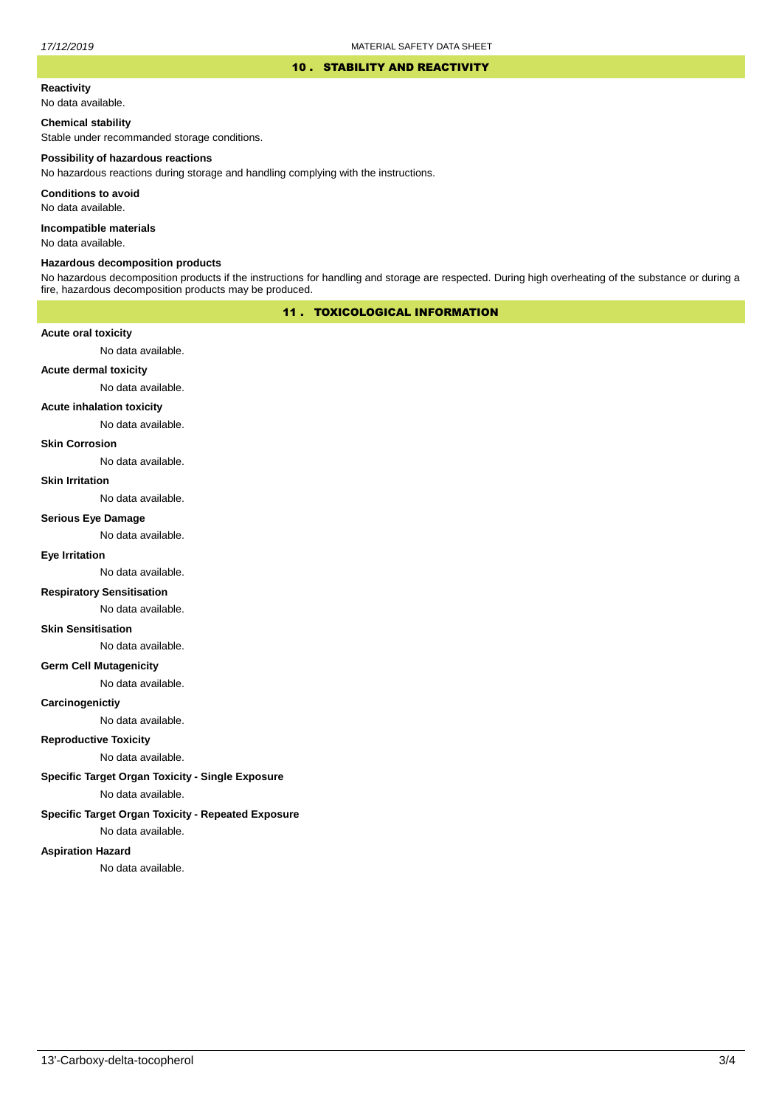#### 10 . STABILITY AND REACTIVITY

# **Reactivity**

No data available.

### **Chemical stability**

Stable under recommanded storage conditions.

#### **Possibility of hazardous reactions**

No hazardous reactions during storage and handling complying with the instructions.

**Conditions to avoid**

No data available.

**Incompatible materials**

No data available.

#### **Hazardous decomposition products**

No hazardous decomposition products if the instructions for handling and storage are respected. During high overheating of the substance or during a fire, hazardous decomposition products may be produced.

## 11 . TOXICOLOGICAL INFORMATION

### **Acute oral toxicity**

No data available.

# **Acute dermal toxicity**

No data available.

### **Acute inhalation toxicity**

No data available.

## **Skin Corrosion**

No data available.

#### **Skin Irritation**

No data available.

#### **Serious Eye Damage**

No data available.

# **Eye Irritation**

No data available.

### **Respiratory Sensitisation**

No data available.

#### **Skin Sensitisation**

No data available.

### **Germ Cell Mutagenicity**

No data available.

### **Carcinogenictiy**

No data available.

## **Reproductive Toxicity**

No data available.

## **Specific Target Organ Toxicity - Single Exposure**

No data available.

### **Specific Target Organ Toxicity - Repeated Exposure**

No data available.

#### **Aspiration Hazard**

No data available.